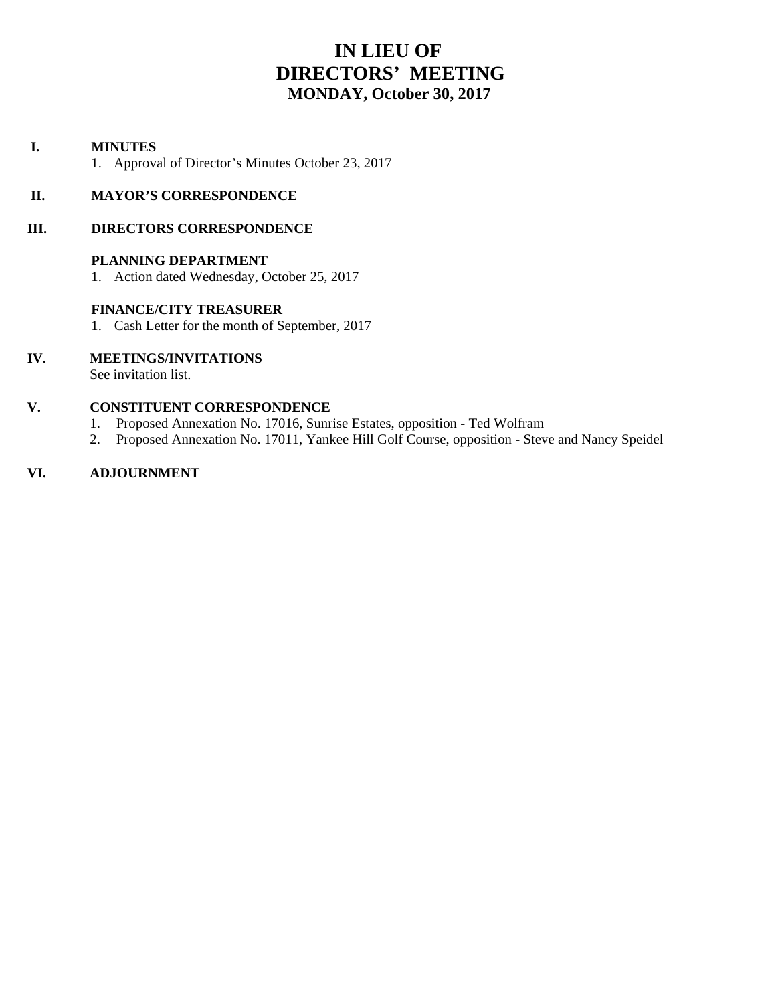# **IN LIEU OF DIRECTORS' MEETING MONDAY, October 30, 2017**

# **I. MINUTES**

1. Approval of Director's Minutes October 23, 2017

# **II. MAYOR'S CORRESPONDENCE**

# **III. DIRECTORS CORRESPONDENCE**

# **PLANNING DEPARTMENT**

1. Action dated Wednesday, October 25, 2017

# **FINANCE/CITY TREASURER**

1. Cash Letter for the month of September, 2017

# **IV. MEETINGS/INVITATIONS**

See invitation list.

# **V. CONSTITUENT CORRESPONDENCE**

- 1. Proposed Annexation No. 17016, Sunrise Estates, opposition Ted Wolfram
- 2. Proposed Annexation No. 17011, Yankee Hill Golf Course, opposition Steve and Nancy Speidel

# **VI. ADJOURNMENT**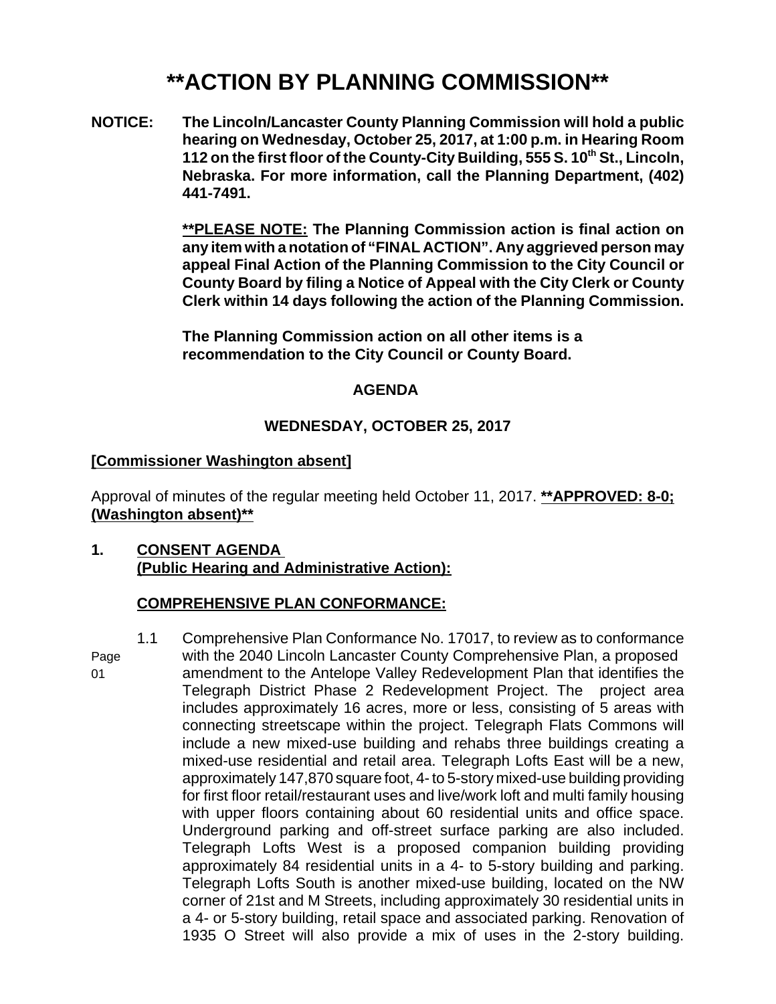# **\*\*ACTION BY PLANNING COMMISSION\*\***

**NOTICE: The Lincoln/Lancaster County Planning Commission will hold a public hearing on Wednesday, October 25, 2017, at 1:00 p.m. in Hearing Room** 112 on the first floor of the County-City Building, 555 S. 10<sup>th</sup> St., Lincoln, **Nebraska. For more information, call the Planning Department, (402) 441-7491.**

> **\*\*PLEASE NOTE: The Planning Commission action is final action on any item with a notation of "FINAL ACTION". Any aggrieved person may appeal Final Action of the Planning Commission to the City Council or County Board by filing a Notice of Appeal with the City Clerk or County Clerk within 14 days following the action of the Planning Commission.**

**The Planning Commission action on all other items is a recommendation to the City Council or County Board.** 

# **AGENDA**

# **WEDNESDAY, OCTOBER 25, 2017**

# **[Commissioner Washington absent]**

Approval of minutes of the regular meeting held October 11, 2017. **\*\*APPROVED: 8-0; (Washington absent)\*\***

**1. CONSENT AGENDA (Public Hearing and Administrative Action):**

# **COMPREHENSIVE PLAN CONFORMANCE:**

1.1 Comprehensive Plan Conformance No. 17017, to review as to conformance Page with the 2040 Lincoln Lancaster County Comprehensive Plan, a proposed 01 amendment to the Antelope Valley Redevelopment Plan that identifies the Telegraph District Phase 2 Redevelopment Project. The project area includes approximately 16 acres, more or less, consisting of 5 areas with connecting streetscape within the project. Telegraph Flats Commons will include a new mixed-use building and rehabs three buildings creating a mixed-use residential and retail area. Telegraph Lofts East will be a new, approximately 147,870 square foot, 4- to 5-story mixed-use building providing for first floor retail/restaurant uses and live/work loft and multi family housing with upper floors containing about 60 residential units and office space. Underground parking and off-street surface parking are also included. Telegraph Lofts West is a proposed companion building providing approximately 84 residential units in a 4- to 5-story building and parking. Telegraph Lofts South is another mixed-use building, located on the NW corner of 21st and M Streets, including approximately 30 residential units in a 4- or 5-story building, retail space and associated parking. Renovation of 1935 O Street will also provide a mix of uses in the 2-story building.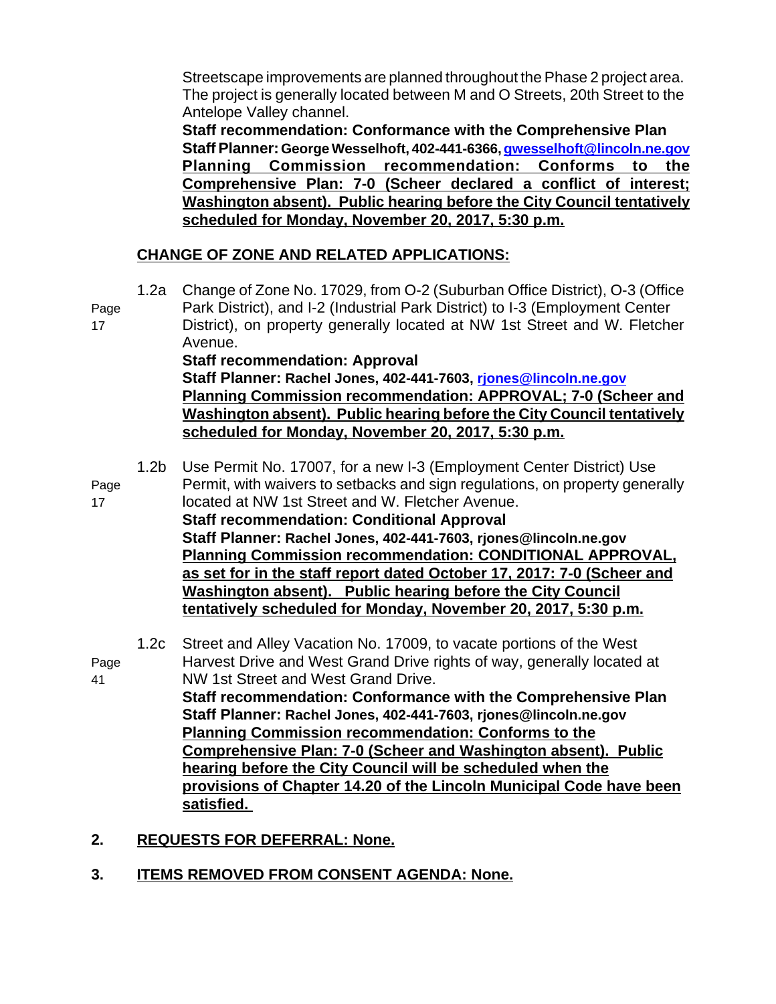Streetscape improvements are planned throughout the Phase 2 project area. The project is generally located between M and O Streets, 20th Street to the Antelope Valley channel.

**Staff recommendation: Conformance with the Comprehensive Plan Staff Planner: George Wesselhoft, 402-441-6366, gwesselhoft@lincoln.ne.gov Planning Commission recommendation: Conforms to the Comprehensive Plan: 7-0 (Scheer declared a conflict of interest; Washington absent). Public hearing before the City Council tentatively scheduled for Monday, November 20, 2017, 5:30 p.m.**

# **CHANGE OF ZONE AND RELATED APPLICATIONS:**

1.2a Change of Zone No. 17029, from O-2 (Suburban Office District), O-3 (Office Page Park District), and I-2 (Industrial Park District) to I-3 (Employment Center 17 District), on property generally located at NW 1st Street and W. Fletcher Avenue. **Staff recommendation: Approval Staff Planner: Rachel Jones, 402-441-7603, rjones@lincoln.ne.gov Planning Commission recommendation: APPROVAL; 7-0 (Scheer and Washington absent). Public hearing before the City Council tentatively scheduled for Monday, November 20, 2017, 5:30 p.m.** 1.2b Use Permit No. 17007, for a new I-3 (Employment Center District) Use Page Permit, with waivers to setbacks and sign regulations, on property generally 17 located at NW 1st Street and W. Fletcher Avenue. **Staff recommendation: Conditional Approval Staff Planner: Rachel Jones, 402-441-7603, rjones@lincoln.ne.gov Planning Commission recommendation: CONDITIONAL APPROVAL, as set for in the staff report dated October 17, 2017: 7-0 (Scheer and Washington absent). Public hearing before the City Council tentatively scheduled for Monday, November 20, 2017, 5:30 p.m.** 1.2c Street and Alley Vacation No. 17009, to vacate portions of the West Page Harvest Drive and West Grand Drive rights of way, generally located at 41 NW 1st Street and West Grand Drive. **Staff recommendation: Conformance with the Comprehensive Plan Staff Planner: Rachel Jones, 402-441-7603, rjones@lincoln.ne.gov Planning Commission recommendation: Conforms to the Comprehensive Plan: 7-0 (Scheer and Washington absent). Public hearing before the City Council will be scheduled when the provisions of Chapter 14.20 of the Lincoln Municipal Code have been satisfied.** 

- **2. REQUESTS FOR DEFERRAL: None.**
- **3. ITEMS REMOVED FROM CONSENT AGENDA: None.**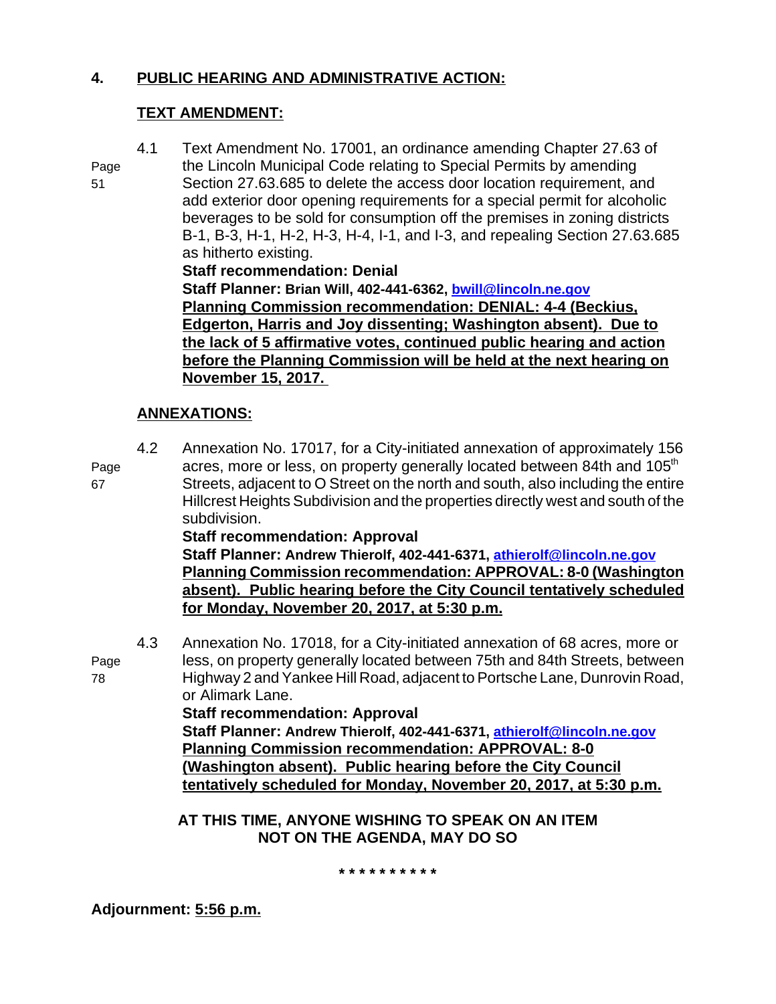# **4. PUBLIC HEARING AND ADMINISTRATIVE ACTION:**

# **TEXT AMENDMENT:**

4.1 Text Amendment No. 17001, an ordinance amending Chapter 27.63 of

Page the Lincoln Municipal Code relating to Special Permits by amending 51 Section 27.63.685 to delete the access door location requirement, and add exterior door opening requirements for a special permit for alcoholic beverages to be sold for consumption off the premises in zoning districts B-1, B-3, H-1, H-2, H-3, H-4, I-1, and I-3, and repealing Section 27.63.685 as hitherto existing.

**Staff recommendation: Denial**

**Staff Planner: Brian Will, 402-441-6362, bwill@lincoln.ne.gov Planning Commission recommendation: DENIAL: 4-4 (Beckius, Edgerton, Harris and Joy dissenting; Washington absent). Due to the lack of 5 affirmative votes, continued public hearing and action before the Planning Commission will be held at the next hearing on November 15, 2017.** 

# **ANNEXATIONS:**

4.2 Annexation No. 17017, for a City-initiated annexation of approximately 156 Page acres, more or less, on property generally located between 84th and 105<sup>th</sup> 67 Streets, adjacent to O Street on the north and south, also including the entire Hillcrest Heights Subdivision and the properties directly west and south of the subdivision.

# **Staff recommendation: Approval**

**Staff Planner: Andrew Thierolf, 402-441-6371, athierolf@lincoln.ne.gov Planning Commission recommendation: APPROVAL: 8-0 (Washington absent). Public hearing before the City Council tentatively scheduled for Monday, November 20, 2017, at 5:30 p.m.**

4.3 Annexation No. 17018, for a City-initiated annexation of 68 acres, more or Page less, on property generally located between 75th and 84th Streets, between 78 Highway 2 and Yankee Hill Road, adjacent to Portsche Lane, Dunrovin Road, or Alimark Lane.

**Staff recommendation: Approval Staff Planner: Andrew Thierolf, 402-441-6371, athierolf@lincoln.ne.gov Planning Commission recommendation: APPROVAL: 8-0 (Washington absent). Public hearing before the City Council tentatively scheduled for Monday, November 20, 2017, at 5:30 p.m.**

# **AT THIS TIME, ANYONE WISHING TO SPEAK ON AN ITEM NOT ON THE AGENDA, MAY DO SO**

**\* \* \* \* \* \* \* \* \* \***

**Adjournment: 5:56 p.m.**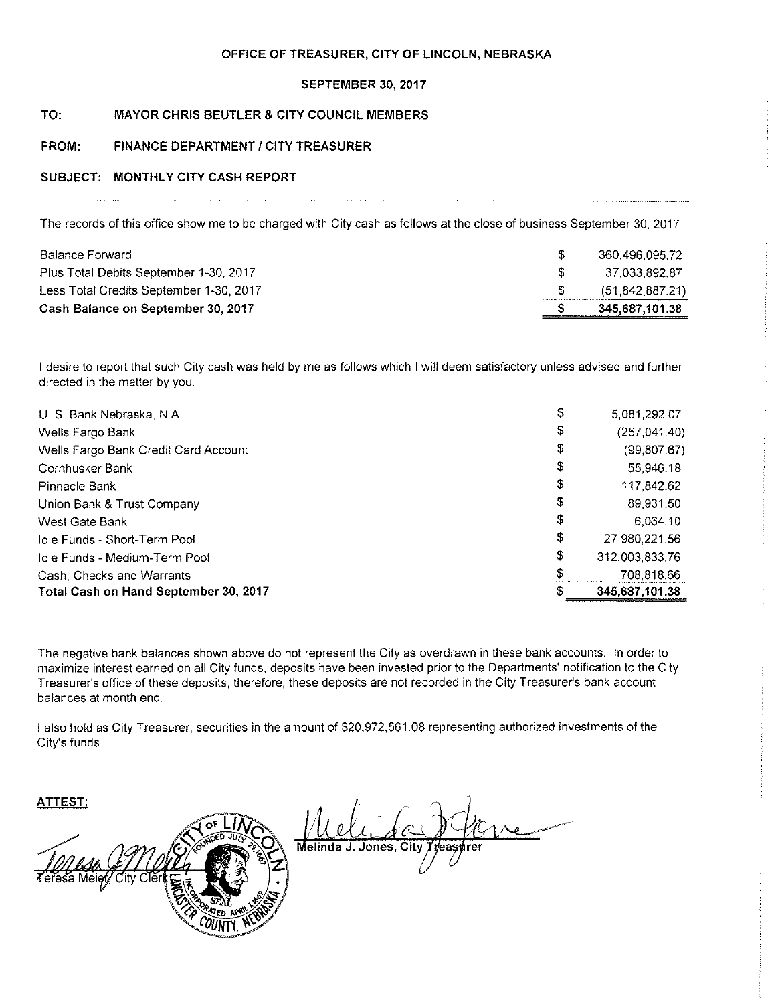### OFFICE OF TREASURER, CITY OF LINCOLN, NEBRASKA

## SEPTEMBER 30, 2017

#### TO: **MAYOR CHRIS BEUTLER & CITY COUNCIL MEMBERS**

#### FROM: FINANCE DEPARTMENT / CITY TREASURER

# SUBJECT: MONTHLY CITY CASH REPORT

The records of this office show me to be charged with City cash as follows at the close of business September 30, 2017

| 360,496,095.72    |
|-------------------|
| 37 033 892 87     |
| (51, 842, 887.21) |
| 345,687,101.38    |
|                   |

I desire to report that such City cash was held by me as follows which I will deem satisfactory unless advised and further directed in the matter by you.

| U. S. Bank Nebraska, N.A.             | \$ | 5,081,292.07   |
|---------------------------------------|----|----------------|
| Wells Fargo Bank                      | \$ | (257, 041.40)  |
| Wells Fargo Bank Credit Card Account  | \$ | (99, 807.67)   |
| Cornhusker Bank                       | \$ | 55,946.18      |
| Pinnacle Bank                         | \$ | 117,842.62     |
| Union Bank & Trust Company            | \$ | 89,931.50      |
| West Gate Bank                        | \$ | 6.064.10       |
| Idle Funds - Short-Term Pool          | \$ | 27.980.221.56  |
| Idle Funds - Medium-Term Pool         | \$ | 312,003,833.76 |
| Cash, Checks and Warrants             | \$ | 708 818.66     |
| Total Cash on Hand September 30, 2017 | S  | 345,687,101.38 |

The negative bank balances shown above do not represent the City as overdrawn in these bank accounts. In order to maximize interest earned on all City funds, deposits have been invested prior to the Departments' notification to the City Treasurer's office of these deposits; therefore, these deposits are not recorded in the City Treasurer's bank account balances at month end.

I also hold as City Treasurer, securities in the amount of \$20,972,561.08 representing authorized investments of the City's funds.

**ATTEST:**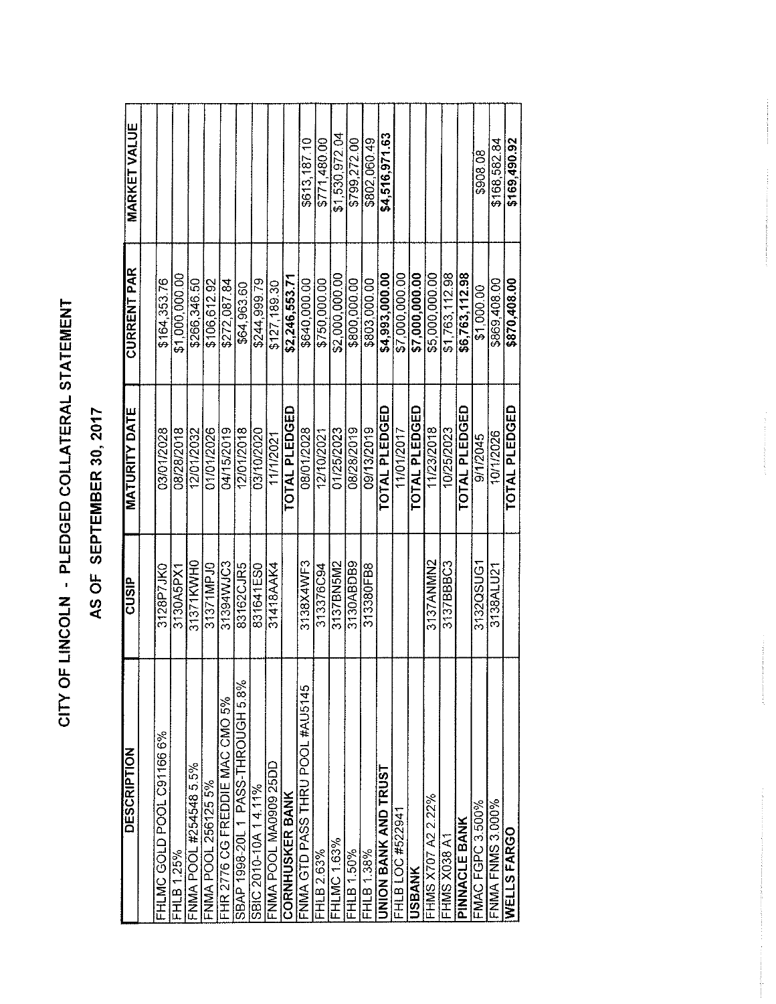# CITY OF LINCOLN - PLEDGED COLLATERAL STATEMENT

# AS OF SEPTEMBER 30, 2017

| <b>DESCRIPTION</b>                | <b>CUSIP</b> | <b>MATURITY DATE</b> | <b>CURRENT PAR</b> | <b>MARKET VALUE</b> |
|-----------------------------------|--------------|----------------------|--------------------|---------------------|
|                                   |              |                      |                    |                     |
| FHLMC GOLD POOL C91166 6%         | 3128P7JK0    | 03/01/2028           | \$164.353.76       |                     |
| FHLB 1.25%                        | 3130A5PX1    | 08/28/2018           | \$1,000,000.00     |                     |
| FNMA POOL #254548 5.5%            | 31371KWH0    | 12/01/2032           | \$266.346.50       |                     |
| FNMA POOL 256125 5%               | 31371MPJ0    | 01/01/2026           | \$106.612.92       |                     |
| FHR 2776 CG FREDDIE MAC CMO 5%    | 31394WJC3    | 04/15/2019           | \$272.087.84       |                     |
| SBAP 1998-20L 1 PASS-THROUGH 5.8% | 83162CJR5    | 12/01/2018           | \$64,963,60        |                     |
| SBIC 2010-10A 14 11%              | 831641ES0    | 03/10/2020           | \$244,999.79       |                     |
| FNMA POOL MA0909 25DD             | 31418AAK4    | 11/1/2021            | \$127,189.30       |                     |
| <b>CORNHUSKER BANK</b>            |              | <b>TOTAL PLEDGED</b> | \$2,246,553.71     |                     |
| FNMA GTD PASS THRU POOL #AU5145   | 3138X4WF3    | 08/01/2028           | \$640,000.00       | \$613,187.10        |
| FHLB 2.63%                        | 313376C94    | 12/10/2021           | \$750,000.00       | \$771,480.00        |
| <b>FHLMC 1.63%</b>                | 3137BN5M2    | 01/25/2023           | \$2,000,000.00     | \$1,530,972.04      |
| FHLB 1.50%                        | 3130ABDB9    | 08/28/2019           | \$800,000.00       | \$799.272.00        |
| FHLB 1.38%                        | 313380FB8    | 09/13/2019           | \$803,000.00       | \$802.060.49        |
| UNION BANK AND TRUST              |              | <b>TOTAL PLEDGED</b> | \$4,993,000.00     | \$4,516,971.63      |
| FHLB LOC #522941                  |              | 11/01/2017           | \$7,000,000.00     |                     |
| <b>USBANK</b>                     |              | TOTAL PLEDGED        | \$7,000,000.00     |                     |
| FHMS X707 A2 2.22%                | 3137ANMMN2   | 11/23/2018           | \$5,000,000.00     |                     |
| FHMS X038 A1                      | 3137BBBC3    | 10/25/2023           | \$1,763,112.98     |                     |
| PINNACLE BANK                     |              | TOTAL PLEDGED        | \$6,763,112.98     |                     |
| <b>FMAC FGPC 3 500%</b>           | 3132QSUG1    | 9/1/2045             | \$1.000.00         | \$908.08            |
| <b>FNMA FNMS 3.000%</b>           | 3138ALU21    | 10/1/2026            | \$869,408.00       | \$168,582.84        |
| WELLS FARGO                       |              | <b>TOTAL PLEDGED</b> | \$870,408.00       | \$169,490.92        |

 $\label{eq:2.1} \begin{array}{ll} \mathcal{L}_{\mathcal{A}}(x,y) = \mathcal{L}_{\mathcal{A}}(x,y) + \mathcal{L}_{\mathcal{A}}(x,y) + \mathcal{L}_{\mathcal{A}}(x,y) + \mathcal{L}_{\mathcal{A}}(x,y) + \mathcal{L}_{\mathcal{A}}(x,y) + \mathcal{L}_{\mathcal{A}}(x,y) + \mathcal{L}_{\mathcal{A}}(x,y) + \mathcal{L}_{\mathcal{A}}(x,y) + \mathcal{L}_{\mathcal{A}}(x,y) + \mathcal{L}_{\mathcal{A}}(x,y) + \mathcal{L}_{\mathcal{A}}(x,y) +$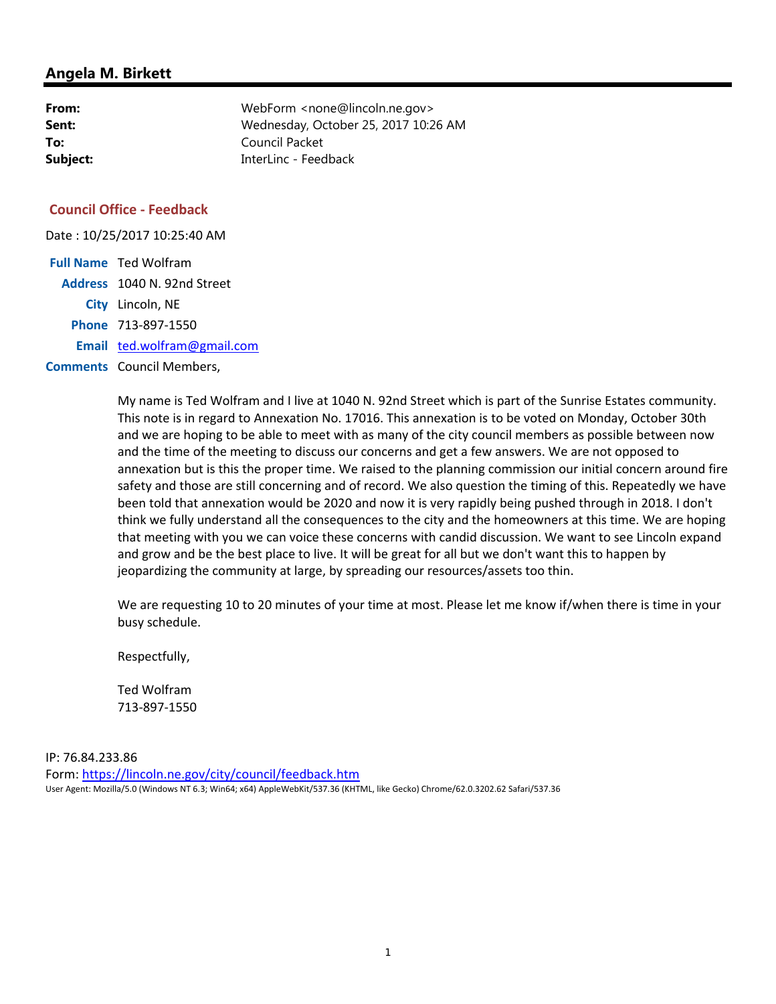| From:    | WebForm <none@lincoln.ne.gov></none@lincoln.ne.gov> |
|----------|-----------------------------------------------------|
| Sent:    | Wednesday, October 25, 2017 10:26 AM                |
| To:      | Council Packet                                      |
| Subject: | InterLinc - Feedback                                |

# **Council Office - Feedback**

Date : 10/25/2017 10:25:40 AM

| <b>Full Name</b> Ted Wolfram     |
|----------------------------------|
| Address 1040 N. 92nd Street      |
| City Lincoln, NE                 |
| Phone 713-897-1550               |
| Email ted.wolfram@gmail.com      |
| <b>Comments</b> Council Members, |

My name is Ted Wolfram and I live at 1040 N. 92nd Street which is part of the Sunrise Estates community. This note is in regard to Annexation No. 17016. This annexation is to be voted on Monday, October 30th and we are hoping to be able to meet with as many of the city council members as possible between now and the time of the meeting to discuss our concerns and get a few answers. We are not opposed to annexation but is this the proper time. We raised to the planning commission our initial concern around fire safety and those are still concerning and of record. We also question the timing of this. Repeatedly we have been told that annexation would be 2020 and now it is very rapidly being pushed through in 2018. I don't think we fully understand all the consequences to the city and the homeowners at this time. We are hoping that meeting with you we can voice these concerns with candid discussion. We want to see Lincoln expand and grow and be the best place to live. It will be great for all but we don't want this to happen by jeopardizing the community at large, by spreading our resources/assets too thin.

We are requesting 10 to 20 minutes of your time at most. Please let me know if/when there is time in your busy schedule.

Respectfully,

Ted Wolfram 713-897-1550

IP: 76.84.233.86 Form: https://lincoln.ne.gov/city/council/feedback.htm User Agent: Mozilla/5.0 (Windows NT 6.3; Win64; x64) AppleWebKit/537.36 (KHTML, like Gecko) Chrome/62.0.3202.62 Safari/537.36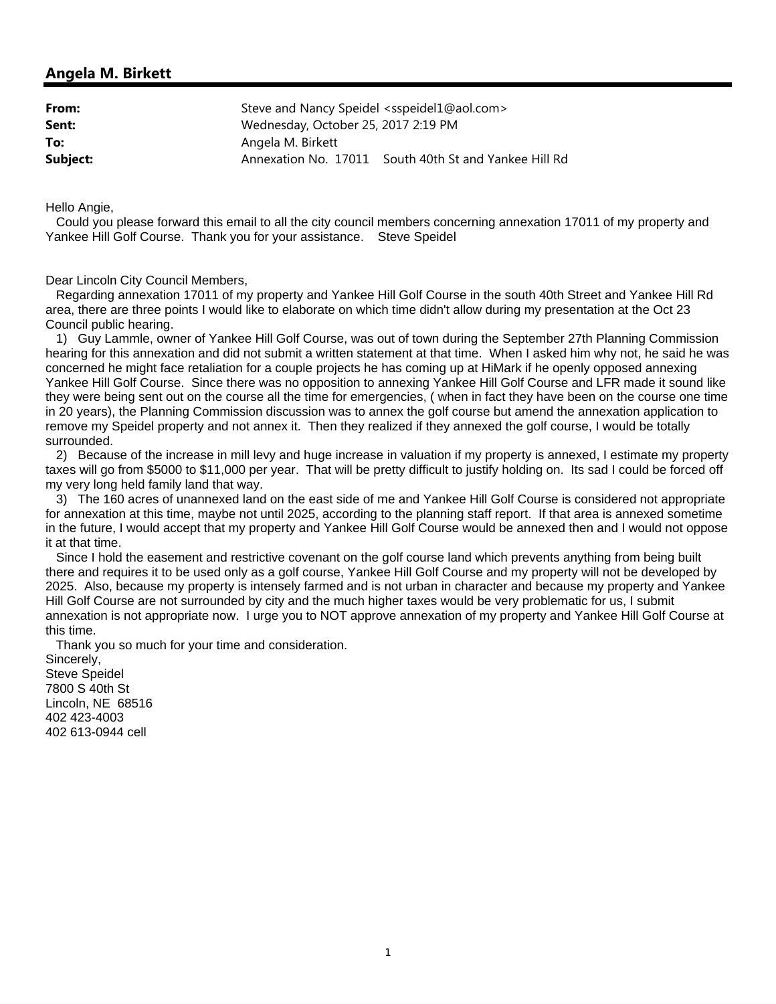| From:    | Steve and Nancy Speidel <sspeidel1@aol.com></sspeidel1@aol.com> |
|----------|-----------------------------------------------------------------|
| Sent:    | Wednesday, October 25, 2017 2:19 PM                             |
| To:      | Angela M. Birkett                                               |
| Subject: | Annexation No. 17011 South 40th St and Yankee Hill Rd           |

Hello Angie,

 Could you please forward this email to all the city council members concerning annexation 17011 of my property and Yankee Hill Golf Course. Thank you for your assistance. Steve Speidel

Dear Lincoln City Council Members,

 Regarding annexation 17011 of my property and Yankee Hill Golf Course in the south 40th Street and Yankee Hill Rd area, there are three points I would like to elaborate on which time didn't allow during my presentation at the Oct 23 Council public hearing.

 1) Guy Lammle, owner of Yankee Hill Golf Course, was out of town during the September 27th Planning Commission hearing for this annexation and did not submit a written statement at that time. When I asked him why not, he said he was concerned he might face retaliation for a couple projects he has coming up at HiMark if he openly opposed annexing Yankee Hill Golf Course. Since there was no opposition to annexing Yankee Hill Golf Course and LFR made it sound like they were being sent out on the course all the time for emergencies, ( when in fact they have been on the course one time in 20 years), the Planning Commission discussion was to annex the golf course but amend the annexation application to remove my Speidel property and not annex it. Then they realized if they annexed the golf course, I would be totally surrounded.

 2) Because of the increase in mill levy and huge increase in valuation if my property is annexed, I estimate my property taxes will go from \$5000 to \$11,000 per year. That will be pretty difficult to justify holding on. Its sad I could be forced off my very long held family land that way.

 3) The 160 acres of unannexed land on the east side of me and Yankee Hill Golf Course is considered not appropriate for annexation at this time, maybe not until 2025, according to the planning staff report. If that area is annexed sometime in the future, I would accept that my property and Yankee Hill Golf Course would be annexed then and I would not oppose it at that time.

 Since I hold the easement and restrictive covenant on the golf course land which prevents anything from being built there and requires it to be used only as a golf course, Yankee Hill Golf Course and my property will not be developed by 2025. Also, because my property is intensely farmed and is not urban in character and because my property and Yankee Hill Golf Course are not surrounded by city and the much higher taxes would be very problematic for us, I submit annexation is not appropriate now. I urge you to NOT approve annexation of my property and Yankee Hill Golf Course at this time.

Thank you so much for your time and consideration.

Sincerely, Steve Speidel 7800 S 40th St Lincoln, NE 68516 402 423-4003 402 613-0944 cell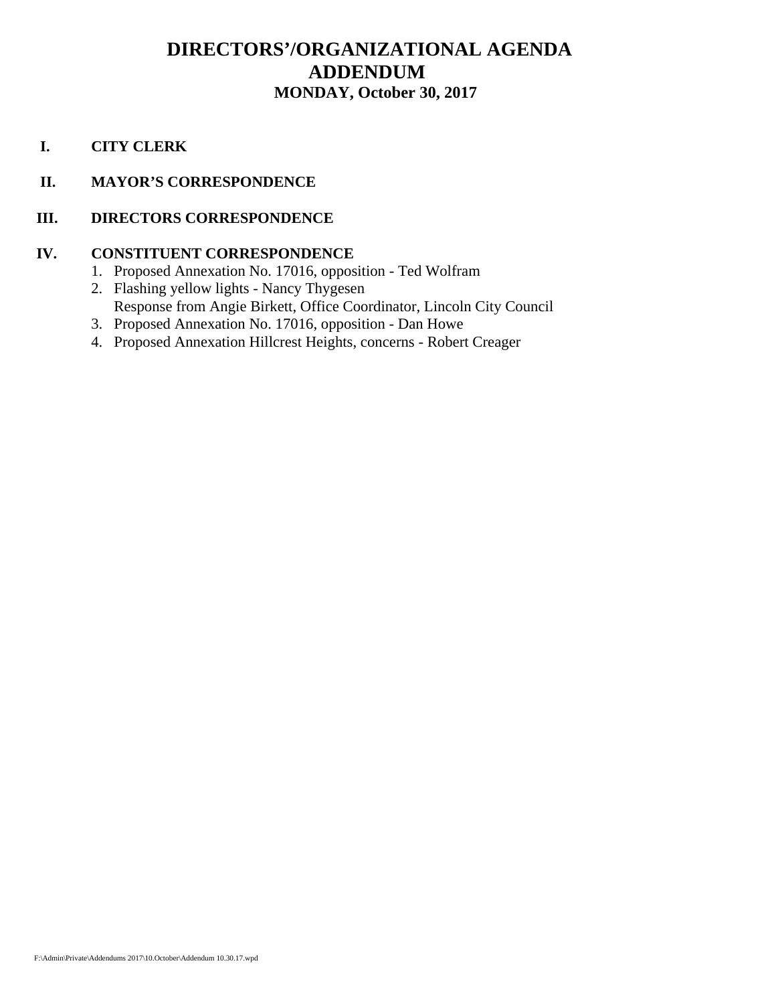# **DIRECTORS'/ORGANIZATIONAL AGENDA ADDENDUM MONDAY, October 30, 2017**

 **I. CITY CLERK**

# **II. MAYOR'S CORRESPONDENCE**

# **III. DIRECTORS CORRESPONDENCE**

# **IV. CONSTITUENT CORRESPONDENCE**

- 1. Proposed Annexation No. 17016, opposition Ted Wolfram
- 2. Flashing yellow lights Nancy Thygesen Response from Angie Birkett, Office Coordinator, Lincoln City Council
- 3. Proposed Annexation No. 17016, opposition Dan Howe
- 4. Proposed Annexation Hillcrest Heights, concerns Robert Creager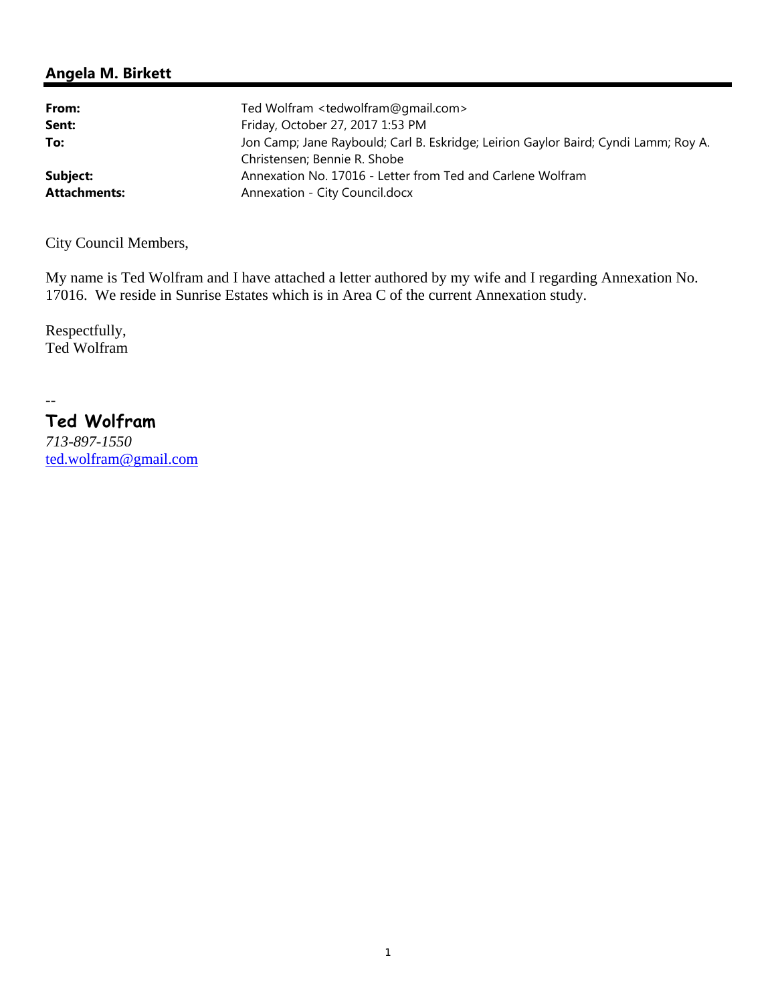| From:               | Ted Wolfram <tedwolfram@gmail.com></tedwolfram@gmail.com>                           |
|---------------------|-------------------------------------------------------------------------------------|
| Sent:               | Friday, October 27, 2017 1:53 PM                                                    |
| To:                 | Jon Camp; Jane Raybould; Carl B. Eskridge; Leirion Gaylor Baird; Cyndi Lamm; Roy A. |
|                     | Christensen; Bennie R. Shobe                                                        |
| Subject:            | Annexation No. 17016 - Letter from Ted and Carlene Wolfram                          |
| <b>Attachments:</b> | Annexation - City Council.docx                                                      |

City Council Members,

My name is Ted Wolfram and I have attached a letter authored by my wife and I regarding Annexation No. 17016. We reside in Sunrise Estates which is in Area C of the current Annexation study.

Respectfully, Ted Wolfram

 $\overline{a}$ 

# **Ted Wolfram**

*713-897-1550* ted.wolfram@gmail.com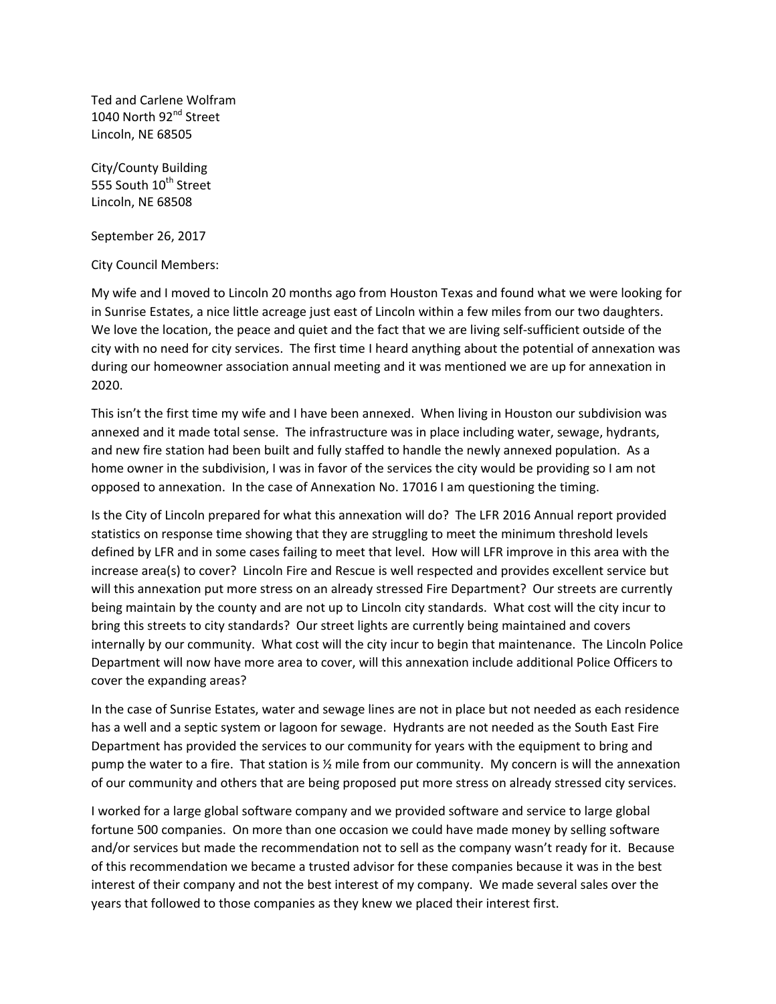Ted and Carlene Wolfram 1040 North 92<sup>nd</sup> Street Lincoln, NE 68505

City/County Building 555 South 10<sup>th</sup> Street Lincoln, NE 68508

September 26, 2017

City Council Members:

My wife and I moved to Lincoln 20 months ago from Houston Texas and found what we were looking for in Sunrise Estates, a nice little acreage just east of Lincoln within a few miles from our two daughters. We love the location, the peace and quiet and the fact that we are living self-sufficient outside of the city with no need for city services. The first time I heard anything about the potential of annexation was during our homeowner association annual meeting and it was mentioned we are up for annexation in 2020.

This isn't the first time my wife and I have been annexed. When living in Houston our subdivision was annexed and it made total sense. The infrastructure was in place including water, sewage, hydrants, and new fire station had been built and fully staffed to handle the newly annexed population. As a home owner in the subdivision, I was in favor of the services the city would be providing so I am not opposed to annexation. In the case of Annexation No. 17016 I am questioning the timing.

Is the City of Lincoln prepared for what this annexation will do? The LFR 2016 Annual report provided statistics on response time showing that they are struggling to meet the minimum threshold levels defined by LFR and in some cases failing to meet that level. How will LFR improve in this area with the increase area(s) to cover? Lincoln Fire and Rescue is well respected and provides excellent service but will this annexation put more stress on an already stressed Fire Department? Our streets are currently being maintain by the county and are not up to Lincoln city standards. What cost will the city incur to bring this streets to city standards? Our street lights are currently being maintained and covers internally by our community. What cost will the city incur to begin that maintenance. The Lincoln Police Department will now have more area to cover, will this annexation include additional Police Officers to cover the expanding areas?

In the case of Sunrise Estates, water and sewage lines are not in place but not needed as each residence has a well and a septic system or lagoon for sewage. Hydrants are not needed as the South East Fire Department has provided the services to our community for years with the equipment to bring and pump the water to a fire. That station is ½ mile from our community. My concern is will the annexation of our community and others that are being proposed put more stress on already stressed city services.

I worked for a large global software company and we provided software and service to large global fortune 500 companies. On more than one occasion we could have made money by selling software and/or services but made the recommendation not to sell as the company wasn't ready for it. Because of this recommendation we became a trusted advisor for these companies because it was in the best interest of their company and not the best interest of my company. We made several sales over the years that followed to those companies as they knew we placed their interest first.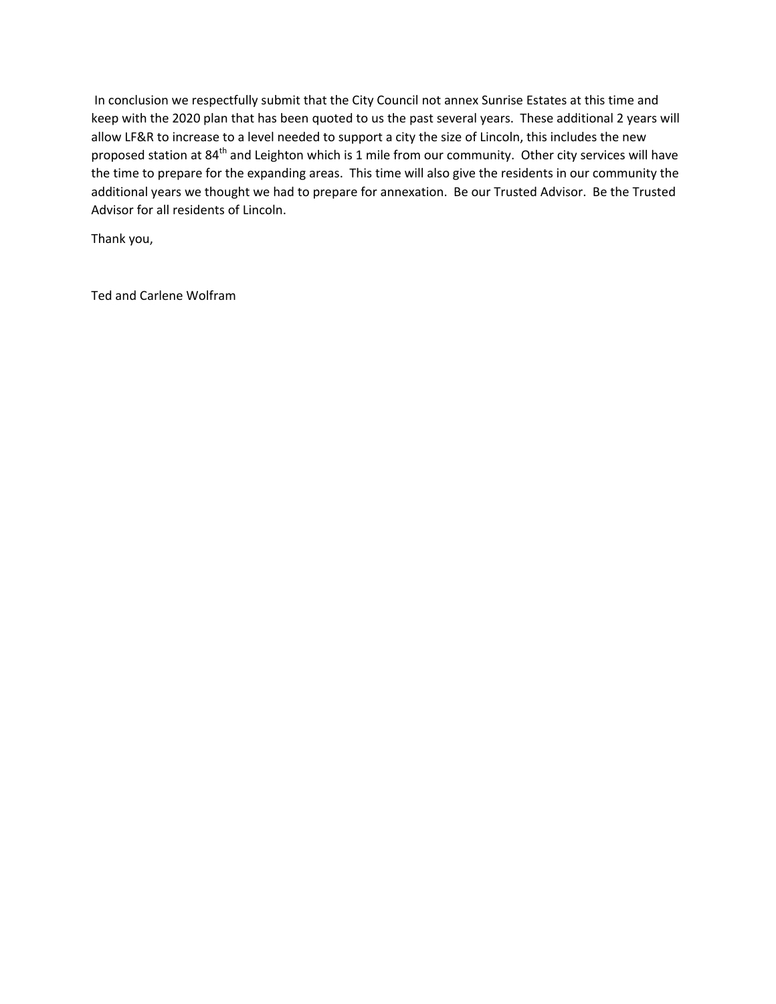In conclusion we respectfully submit that the City Council not annex Sunrise Estates at this time and keep with the 2020 plan that has been quoted to us the past several years. These additional 2 years will allow LF&R to increase to a level needed to support a city the size of Lincoln, this includes the new proposed station at 84<sup>th</sup> and Leighton which is 1 mile from our community. Other city services will have the time to prepare for the expanding areas. This time will also give the residents in our community the additional years we thought we had to prepare for annexation. Be our Trusted Advisor. Be the Trusted Advisor for all residents of Lincoln.

Thank you,

Ted and Carlene Wolfram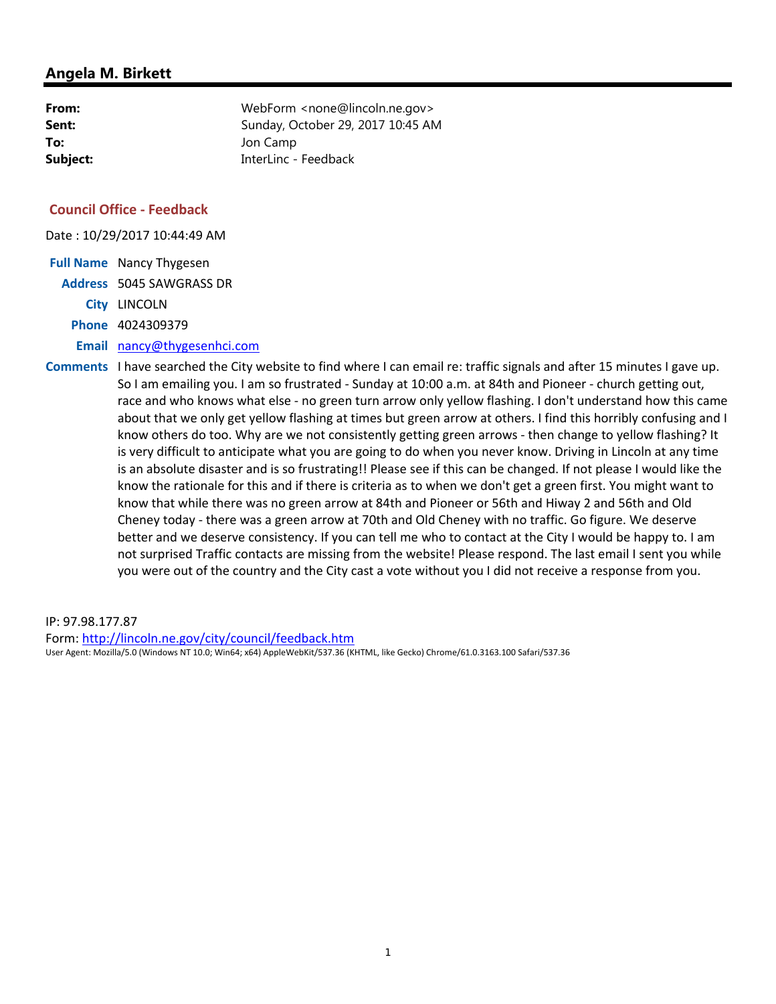| From:    | WebForm <none@lincoln.ne.gov></none@lincoln.ne.gov> |
|----------|-----------------------------------------------------|
| Sent:    | Sunday, October 29, 2017 10:45 AM                   |
| To:      | Jon Camp                                            |
| Subject: | InterLinc - Feedback                                |

# **Council Office - Feedback**

Date : 10/29/2017 10:44:49 AM

**Full Name** Nancy Thygesen **Address** 5045 SAWGRASS DR **City** LINCOLN **Phone** 4024309379 **Email** nancy@thygesenhci.com

**Comments** I have searched the City website to find where I can email re: traffic signals and after 15 minutes I gave up. So I am emailing you. I am so frustrated - Sunday at 10:00 a.m. at 84th and Pioneer - church getting out, race and who knows what else - no green turn arrow only yellow flashing. I don't understand how this came about that we only get yellow flashing at times but green arrow at others. I find this horribly confusing and I know others do too. Why are we not consistently getting green arrows - then change to yellow flashing? It is very difficult to anticipate what you are going to do when you never know. Driving in Lincoln at any time is an absolute disaster and is so frustrating!! Please see if this can be changed. If not please I would like the know the rationale for this and if there is criteria as to when we don't get a green first. You might want to know that while there was no green arrow at 84th and Pioneer or 56th and Hiway 2 and 56th and Old Cheney today - there was a green arrow at 70th and Old Cheney with no traffic. Go figure. We deserve better and we deserve consistency. If you can tell me who to contact at the City I would be happy to. I am not surprised Traffic contacts are missing from the website! Please respond. The last email I sent you while you were out of the country and the City cast a vote without you I did not receive a response from you.

IP: 97.98.177.87 Form: http://lincoln.ne.gov/city/council/feedback.htm User Agent: Mozilla/5.0 (Windows NT 10.0; Win64; x64) AppleWebKit/537.36 (KHTML, like Gecko) Chrome/61.0.3163.100 Safari/537.36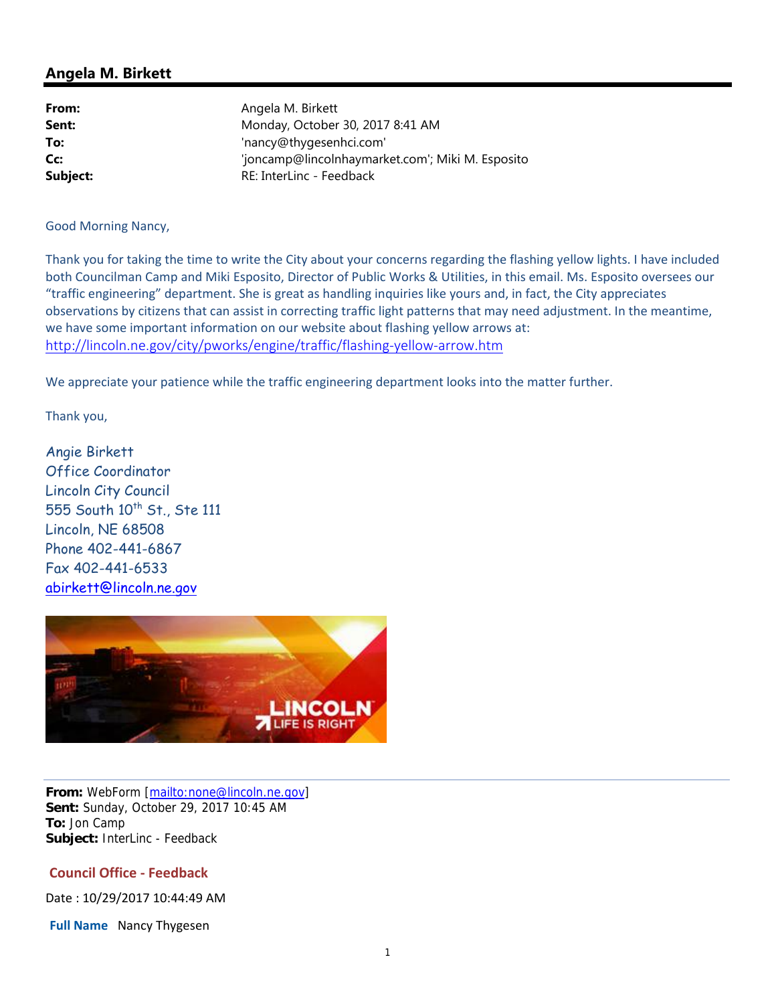| From:    | Angela M. Birkett                                |
|----------|--------------------------------------------------|
| Sent:    | Monday, October 30, 2017 8:41 AM                 |
| To:      | 'nancy@thygesenhci.com'                          |
| Cc:      | 'joncamp@lincolnhaymarket.com'; Miki M. Esposito |
| Subject: | RE: InterLinc - Feedback                         |

Good Morning Nancy,

Thank you for taking the time to write the City about your concerns regarding the flashing yellow lights. I have included both Councilman Camp and Miki Esposito, Director of Public Works & Utilities, in this email. Ms. Esposito oversees our "traffic engineering" department. She is great as handling inquiries like yours and, in fact, the City appreciates observations by citizens that can assist in correcting traffic light patterns that may need adjustment. In the meantime, we have some important information on our website about flashing yellow arrows at: http://lincoln.ne.gov/city/pworks/engine/traffic/flashing-yellow-arrow.htm

We appreciate your patience while the traffic engineering department looks into the matter further.

Thank you,

Angie Birkett Office Coordinator Lincoln City Council 555 South 10<sup>th</sup> St., Ste 111 Lincoln, NE 68508 Phone 402-441-6867 Fax 402-441-6533 abirkett@lincoln.ne.gov



**From:** WebForm [mailto:none@lincoln.ne.gov] **Sent:** Sunday, October 29, 2017 10:45 AM **To:** Jon Camp **Subject:** InterLinc - Feedback

# **Council Office - Feedback**

Date : 10/29/2017 10:44:49 AM

**Full Name** Nancy Thygesen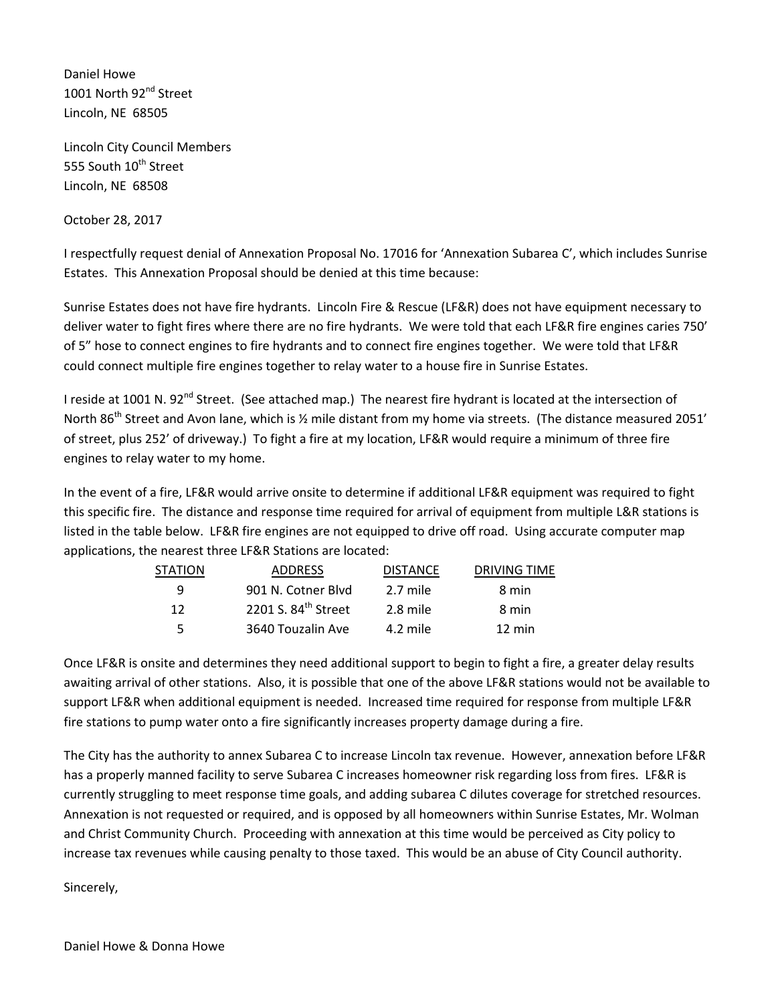Daniel Howe 1001 North 92<sup>nd</sup> Street Lincoln, NE 68505

Lincoln City Council Members 555 South 10<sup>th</sup> Street Lincoln, NE 68508

October 28, 2017

I respectfully request denial of Annexation Proposal No. 17016 for 'Annexation Subarea C', which includes Sunrise Estates. This Annexation Proposal should be denied at this time because:

Sunrise Estates does not have fire hydrants. Lincoln Fire & Rescue (LF&R) does not have equipment necessary to deliver water to fight fires where there are no fire hydrants. We were told that each LF&R fire engines caries 750' of 5" hose to connect engines to fire hydrants and to connect fire engines together. We were told that LF&R could connect multiple fire engines together to relay water to a house fire in Sunrise Estates.

I reside at 1001 N. 92<sup>nd</sup> Street. (See attached map.) The nearest fire hydrant is located at the intersection of North 86<sup>th</sup> Street and Avon lane, which is 1/2 mile distant from my home via streets. (The distance measured 2051' of street, plus 252' of driveway.) To fight a fire at my location, LF&R would require a minimum of three fire engines to relay water to my home.

In the event of a fire, LF&R would arrive onsite to determine if additional LF&R equipment was required to fight this specific fire. The distance and response time required for arrival of equipment from multiple L&R stations is listed in the table below. LF&R fire engines are not equipped to drive off road. Using accurate computer map applications, the nearest three LF&R Stations are located:

|    | <b>STATION</b> | <b>ADDRESS</b>                  | DRIVING TIME<br><b>DISTANCE</b> |  |
|----|----------------|---------------------------------|---------------------------------|--|
|    | q              | 901 N. Cotner Blyd              | 2.7 mile<br>8 min               |  |
| 12 |                | 2201 S. 84 <sup>th</sup> Street | 2.8 mile<br>8 min               |  |
|    | 5              | 3640 Touzalin Ave               | 4.2 mile<br>12 min              |  |

Once LF&R is onsite and determines they need additional support to begin to fight a fire, a greater delay results awaiting arrival of other stations. Also, it is possible that one of the above LF&R stations would not be available to support LF&R when additional equipment is needed. Increased time required for response from multiple LF&R fire stations to pump water onto a fire significantly increases property damage during a fire.

The City has the authority to annex Subarea C to increase Lincoln tax revenue. However, annexation before LF&R has a properly manned facility to serve Subarea C increases homeowner risk regarding loss from fires. LF&R is currently struggling to meet response time goals, and adding subarea C dilutes coverage for stretched resources. Annexation is not requested or required, and is opposed by all homeowners within Sunrise Estates, Mr. Wolman and Christ Community Church. Proceeding with annexation at this time would be perceived as City policy to increase tax revenues while causing penalty to those taxed. This would be an abuse of City Council authority.

Sincerely,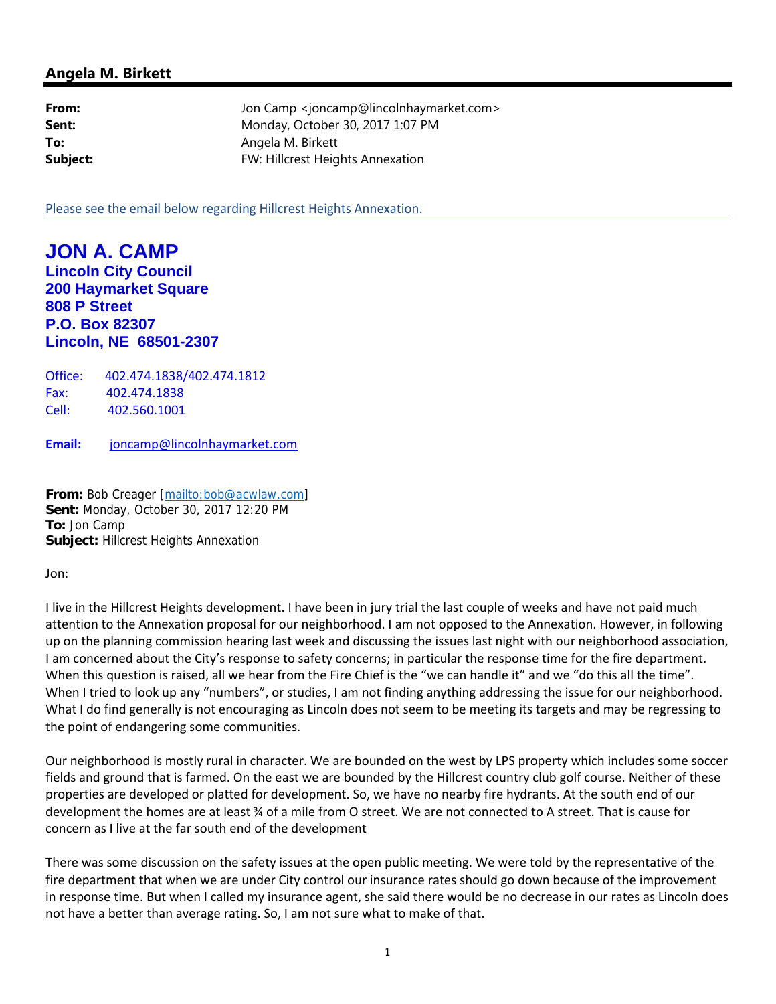| From:    | Jon Camp <joncamp@lincolnhaymarket.com></joncamp@lincolnhaymarket.com> |
|----------|------------------------------------------------------------------------|
| Sent:    | Monday, October 30, 2017 1:07 PM                                       |
| To:      | Angela M. Birkett                                                      |
| Subject: | FW: Hillcrest Heights Annexation                                       |

Please see the email below regarding Hillcrest Heights Annexation.

**JON A. CAMP Lincoln City Council 200 Haymarket Square 808 P Street P.O. Box 82307 Lincoln, NE 68501-2307** 

Office: 402.474.1838/402.474.1812 Fax: 402.474.1838 Cell: 402.560.1001

**Email:** joncamp@lincolnhaymarket.com

**From:** Bob Creager [mailto:bob@acwlaw.com] **Sent:** Monday, October 30, 2017 12:20 PM **To:** Jon Camp **Subject:** Hillcrest Heights Annexation

Jon:

I live in the Hillcrest Heights development. I have been in jury trial the last couple of weeks and have not paid much attention to the Annexation proposal for our neighborhood. I am not opposed to the Annexation. However, in following up on the planning commission hearing last week and discussing the issues last night with our neighborhood association, I am concerned about the City's response to safety concerns; in particular the response time for the fire department. When this question is raised, all we hear from the Fire Chief is the "we can handle it" and we "do this all the time". When I tried to look up any "numbers", or studies, I am not finding anything addressing the issue for our neighborhood. What I do find generally is not encouraging as Lincoln does not seem to be meeting its targets and may be regressing to the point of endangering some communities.

Our neighborhood is mostly rural in character. We are bounded on the west by LPS property which includes some soccer fields and ground that is farmed. On the east we are bounded by the Hillcrest country club golf course. Neither of these properties are developed or platted for development. So, we have no nearby fire hydrants. At the south end of our development the homes are at least ¾ of a mile from O street. We are not connected to A street. That is cause for concern as I live at the far south end of the development

There was some discussion on the safety issues at the open public meeting. We were told by the representative of the fire department that when we are under City control our insurance rates should go down because of the improvement in response time. But when I called my insurance agent, she said there would be no decrease in our rates as Lincoln does not have a better than average rating. So, I am not sure what to make of that.